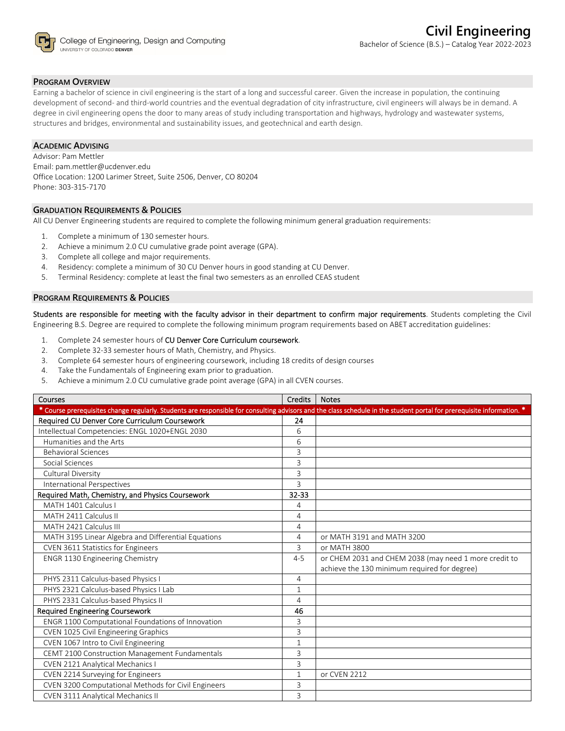

# **PROGRAM OVERVIEW**

Earning a bachelor of science in civil engineering is the start of a long and successful career. Given the increase in population, the continuing development of second- and third-world countries and the eventual degradation of city infrastructure, civil engineers will always be in demand. A degree in civil engineering opens the door to many areas of study including transportation and highways, hydrology and wastewater systems, structures and bridges, environmental and sustainability issues, and geotechnical and earth design.

# **ACADEMIC ADVISING**

Advisor: Pam Mettler Email: pam.mettler@ucdenver.edu Office Location: 1200 Larimer Street, Suite 2506, Denver, CO 80204 Phone: 303‐315‐7170

# **GRADUATION REQUIREMENTS & POLICIES**

All CU Denver Engineering students are required to complete the following minimum general graduation requirements:

- 1. Complete a minimum of 130 semester hours.
- 2. Achieve a minimum 2.0 CU cumulative grade point average (GPA).
- 3. Complete all college and major requirements.
- 4. Residency: complete a minimum of 30 CU Denver hours in good standing at CU Denver.
- 5. Terminal Residency: complete at least the final two semesters as an enrolled CEAS student

#### **PROGRAM REQUIREMENTS & POLICIES**

Students are responsible for meeting with the faculty advisor in their department to confirm major requirements. Students completing the Civil Engineering B.S. Degree are required to complete the following minimum program requirements based on ABET accreditation guidelines:

- 1. Complete 24 semester hours of CU Denver Core Curriculum coursework.
- 2. Complete 32‐33 semester hours of Math, Chemistry, and Physics.
- 3. Complete 64 semester hours of engineering coursework, including 18 credits of design courses
- 4. Take the Fundamentals of Engineering exam prior to graduation.
- 5. Achieve a minimum 2.0 CU cumulative grade point average (GPA) in all CVEN courses.

| Courses                                                                                                                                                                | <b>Credits</b> | <b>Notes</b>                                          |
|------------------------------------------------------------------------------------------------------------------------------------------------------------------------|----------------|-------------------------------------------------------|
| * Course prerequisites change regularly. Students are responsible for consulting advisors and the class schedule in the student portal for prerequisite information. * |                |                                                       |
| Required CU Denver Core Curriculum Coursework                                                                                                                          | 24             |                                                       |
| Intellectual Competencies: ENGL 1020+ENGL 2030                                                                                                                         | 6              |                                                       |
| Humanities and the Arts                                                                                                                                                | 6              |                                                       |
| <b>Behavioral Sciences</b>                                                                                                                                             | 3              |                                                       |
| Social Sciences                                                                                                                                                        | 3              |                                                       |
| Cultural Diversity                                                                                                                                                     | 3              |                                                       |
| International Perspectives                                                                                                                                             | 3              |                                                       |
| Required Math, Chemistry, and Physics Coursework                                                                                                                       | $32 - 33$      |                                                       |
| MATH 1401 Calculus I                                                                                                                                                   | 4              |                                                       |
| MATH 2411 Calculus II                                                                                                                                                  | 4              |                                                       |
| MATH 2421 Calculus III                                                                                                                                                 | $\overline{4}$ |                                                       |
| MATH 3195 Linear Algebra and Differential Equations                                                                                                                    | 4              | or MATH 3191 and MATH 3200                            |
| <b>CVEN 3611 Statistics for Engineers</b>                                                                                                                              | 3              | or MATH 3800                                          |
| <b>ENGR 1130 Engineering Chemistry</b>                                                                                                                                 | $4 - 5$        | or CHEM 2031 and CHEM 2038 (may need 1 more credit to |
|                                                                                                                                                                        |                | achieve the 130 minimum required for degree)          |
| PHYS 2311 Calculus-based Physics I                                                                                                                                     | 4              |                                                       |
| PHYS 2321 Calculus-based Physics I Lab                                                                                                                                 | 1              |                                                       |
| PHYS 2331 Calculus-based Physics II                                                                                                                                    | $\overline{4}$ |                                                       |
| <b>Required Engineering Coursework</b>                                                                                                                                 | 46             |                                                       |
| ENGR 1100 Computational Foundations of Innovation                                                                                                                      | 3              |                                                       |
| CVEN 1025 Civil Engineering Graphics                                                                                                                                   | 3              |                                                       |
| CVEN 1067 Intro to Civil Engineering                                                                                                                                   | $\mathbf{1}$   |                                                       |
| CEMT 2100 Construction Management Fundamentals                                                                                                                         | 3              |                                                       |
| CVEN 2121 Analytical Mechanics I                                                                                                                                       | 3              |                                                       |
| CVEN 2214 Surveying for Engineers                                                                                                                                      | 1              | or CVEN 2212                                          |
| CVEN 3200 Computational Methods for Civil Engineers                                                                                                                    | 3              |                                                       |
| <b>CVEN 3111 Analytical Mechanics II</b>                                                                                                                               | 3              |                                                       |